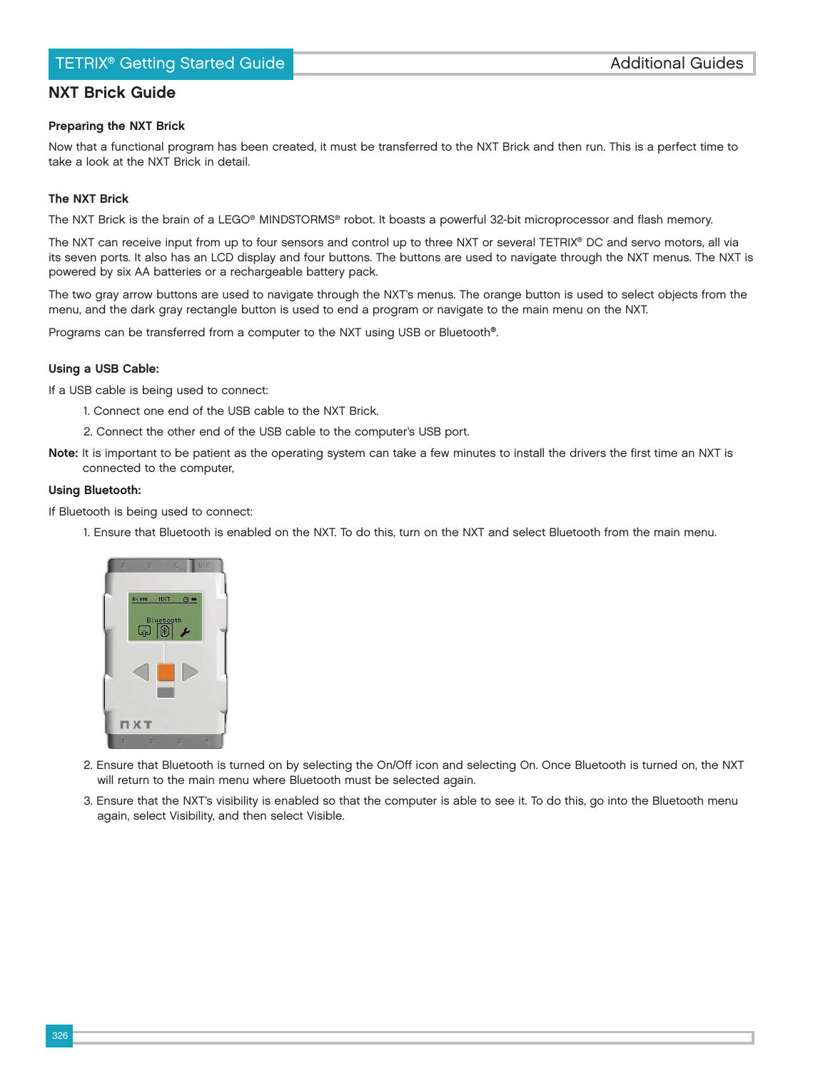# TETRIX<sup>®</sup> Getting Started Guide **Busic Contracts and Cuides Additional Guides**

## NXT Brick Guide

## Preparing the NXT Brick

Now that a functional program has been created, it must be transferred to the NXT Brick and then run. This is a perfect time to take a look at the NXT Brick in detail.

#### The NXT Brick

The NXT Brick is the brain of a LEGO® MINDSTORMS® robot. It boasts a powerful 32-bit microprocessor and flash memory.

The NXT can receive input from up to four sensors and control up to three NXT or several TETRIX® DC and servo motors, all via its seven ports. It also has an LCD display and four buttons. The buttons are used to navigate through the NXT menus. The NXT is powered by six AA batteries or a rechargeable battery pack.

The two gray arrow buttons are used to navigate through the NXT's menus. The orange button is used to select objects from the menu, and the dark gray rectangle button is used to end a program or navigate to the main menu on the NXT.

Programs can be transferred from a computer to the NXT using USB or Bluetooth®.

#### Using a USB Cable:

If a USB cable is being used to connect:

- 1. Connect one end of the USB cable to the NXT Brick.
- 2. Connect the other end of the USB cable to the computer's USB port.
- Note: It is important to be patient as the operating system can take a few minutes to install the drivers the first time an NXT is connected to the computer,

## Using Bluetooth:

If Bluetooth is being used to connect:

1. Ensure that Bluetooth is enabled on the NXT. To do this, turn on the NXT and select Bluetooth from the main menu.



- 2. Ensure that Bluetooth is turned on by selecting the On/Off icon and selecting On. Once Bluetooth is turned on, the NXT will return to the main menu where Bluetooth must be selected again.
- 3. Ensure that the NXT's visibility is enabled so that the computer is able to see it. To do this, go into the Bluetooth menu again, select Visibility, and then select Visible.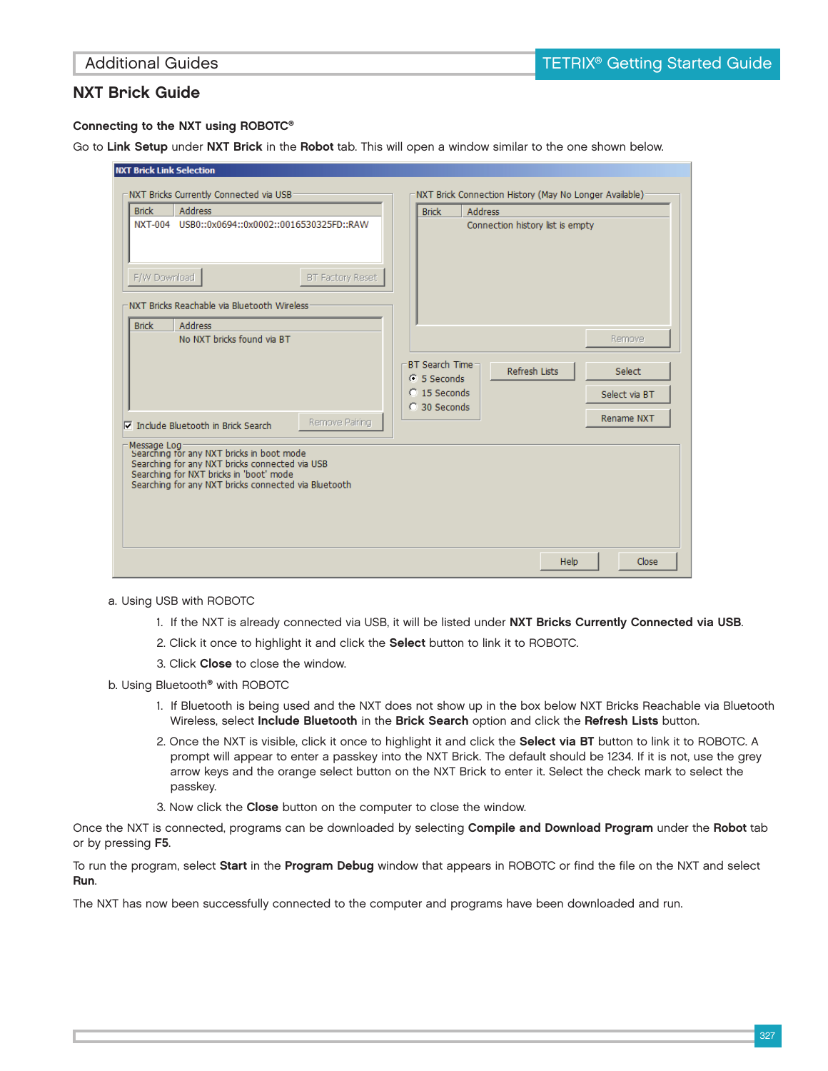## Connecting to the NXT using ROBOTC®

Go to Link Setup under NXT Brick in the Robot tab. This will open a window similar to the one shown below.

| <b>Brick</b> | <b>Address</b>                                                                                                                                                                                                | <b>Brick</b>                                     | <b>Address</b> |                                  |             |                         |
|--------------|---------------------------------------------------------------------------------------------------------------------------------------------------------------------------------------------------------------|--------------------------------------------------|----------------|----------------------------------|-------------|-------------------------|
|              |                                                                                                                                                                                                               |                                                  |                | Connection history list is empty |             |                         |
| F/W Download | <b>BT Factory Reset</b>                                                                                                                                                                                       |                                                  |                |                                  |             |                         |
|              | NXT Bricks Reachable via Bluetooth Wireless:                                                                                                                                                                  |                                                  |                |                                  |             |                         |
| <b>Brick</b> | <b>Address</b><br>No NXT bricks found via BT                                                                                                                                                                  |                                                  |                |                                  |             | Remove                  |
|              |                                                                                                                                                                                                               | BT Search Time-<br>$G$ 5 Seconds<br>C 15 Seconds |                | <b>Refresh Lists</b>             |             | Select<br>Select via BT |
|              | Remove Pairing<br>Include Bluetooth in Brick Search                                                                                                                                                           | C 30 Seconds                                     |                |                                  |             | Rename NXT              |
|              | Message Log<br>Searching for any NXT bricks in boot mode<br>Searching for any NXT bricks connected via USB<br>Searching for NXT bricks in 'boot' mode<br>Searching for any NXT bricks connected via Bluetooth |                                                  |                |                                  |             |                         |
|              |                                                                                                                                                                                                               |                                                  |                |                                  |             |                         |
|              |                                                                                                                                                                                                               |                                                  |                |                                  | <b>Help</b> | Close                   |

- a. Using USB with ROBOTC
	- 1. If the NXT is already connected via USB, it will be listed under NXT Bricks Currently Connected via USB.
	- 2. Click it once to highlight it and click the **Select** button to link it to ROBOTC.
	- 3. Click Close to close the window.
- b. Using Bluetooth<sup>®</sup> with ROBOTC
	- 1. If Bluetooth is being used and the NXT does not show up in the box below NXT Bricks Reachable via Bluetooth Wireless, select Include Bluetooth in the Brick Search option and click the Refresh Lists button.
	- 2. Once the NXT is visible, click it once to highlight it and click the Select via BT button to link it to ROBOTC. A prompt will appear to enter a passkey into the NXT Brick. The default should be 1234. If it is not, use the grey arrow keys and the orange select button on the NXT Brick to enter it. Select the check mark to select the passkey.
	- 3. Now click the Close button on the computer to close the window.

Once the NXT is connected, programs can be downloaded by selecting Compile and Download Program under the Robot tab or by pressing F5.

To run the program, select Start in the Program Debug window that appears in ROBOTC or find the file on the NXT and select Run.

The NXT has now been successfully connected to the computer and programs have been downloaded and run.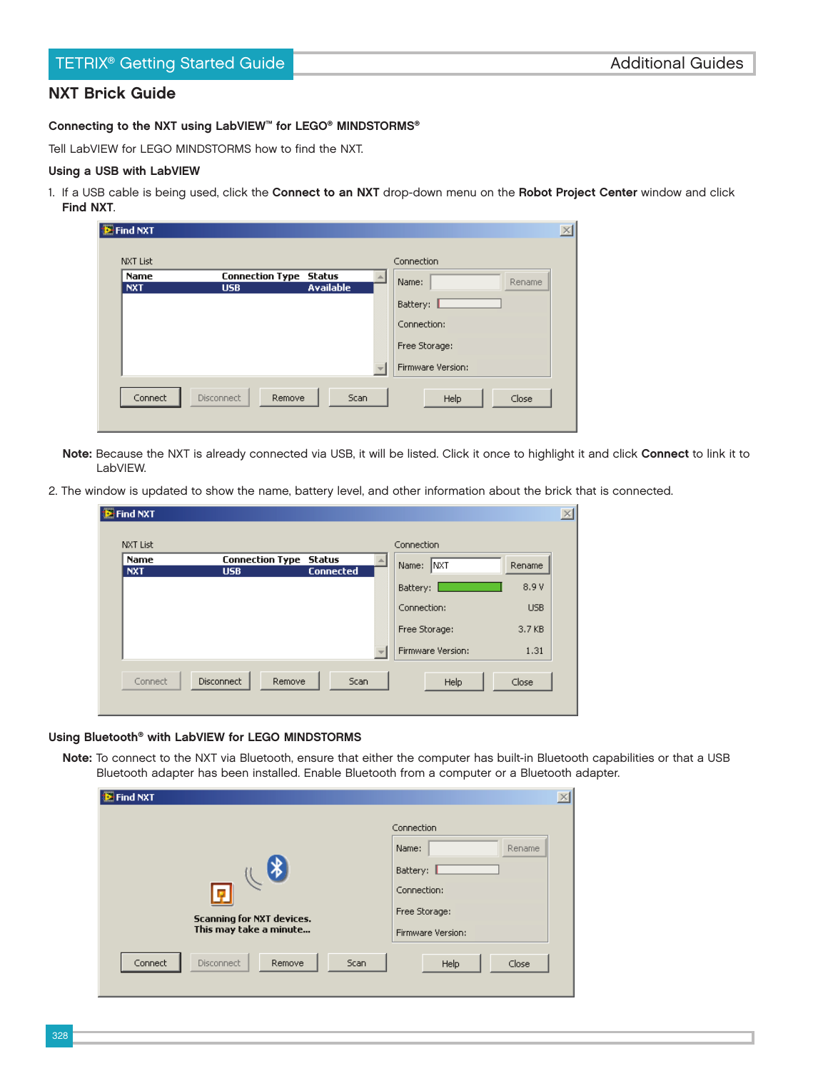## Connecting to the NXT using LabVIEW™ for LEGO® MINDSTORMS®

Tell LabVIEW for LEGO MINDSTORMS how to find the NXT.

## Using a USB with LabVIEW

1. If a USB cable is being used, click the Connect to an NXT drop-down menu on the Robot Project Center window and click Find NXT.

| <b>E</b> Find NXT         |                                             |                  |                   |  |
|---------------------------|---------------------------------------------|------------------|-------------------|--|
| <b>NXT List</b>           |                                             |                  | Connection        |  |
| <b>Name</b><br><b>NXT</b> | <b>Connection Type Status</b><br><b>USB</b> | <b>Available</b> | Name:<br>Rename   |  |
|                           |                                             |                  | Battery:          |  |
|                           |                                             |                  | Connection:       |  |
|                           |                                             |                  | Free Storage:     |  |
|                           |                                             |                  | Firmware Version: |  |
| Connect                   | Disconnect<br>Remove                        | Scan             | Close<br>Help     |  |

- Note: Because the NXT is already connected via USB, it will be listed. Click it once to highlight it and click Connect to link it to LabVIEW.
- 2. The window is updated to show the name, battery level, and other information about the brick that is connected.

| <b>E-Find NXT</b>  |                                      |                            |                      |            | $\vert x \vert$ |
|--------------------|--------------------------------------|----------------------------|----------------------|------------|-----------------|
| <b>NXT List</b>    |                                      |                            | Connection           |            |                 |
| Name<br><b>NXT</b> | <b>Connection Type</b><br><b>USB</b> | Status<br><b>Connected</b> | <b>INXT</b><br>Name: | Rename     |                 |
|                    |                                      |                            | Battery:             | 8.9 V      |                 |
|                    |                                      |                            | Connection:          | <b>USB</b> |                 |
|                    |                                      |                            | Free Storage:        | 3.7 KB     |                 |
|                    |                                      |                            | Firmware Version:    | 1.31       |                 |
| Connect            | Disconnect<br>Remove                 | Scan                       | Help                 | Close      |                 |

### Using Bluetooth® with LabVIEW for LEGO MINDSTORMS

Note: To connect to the NXT via Bluetooth, ensure that either the computer has built-in Bluetooth capabilities or that a USB Bluetooth adapter has been installed. Enable Bluetooth from a computer or a Bluetooth adapter.

| <b>E</b> Find NXT                                                     | $\times$                                                                                       |
|-----------------------------------------------------------------------|------------------------------------------------------------------------------------------------|
| ∦<br>I۶<br><b>Scanning for NXT devices.</b><br>This may take a minute | Connection<br>Name:<br>Rename<br>Battery:<br>Connection:<br>Free Storage:<br>Firmware Version: |
| Connect<br>Scan<br><b>Disconnect</b><br>Remove                        | Close<br>Help                                                                                  |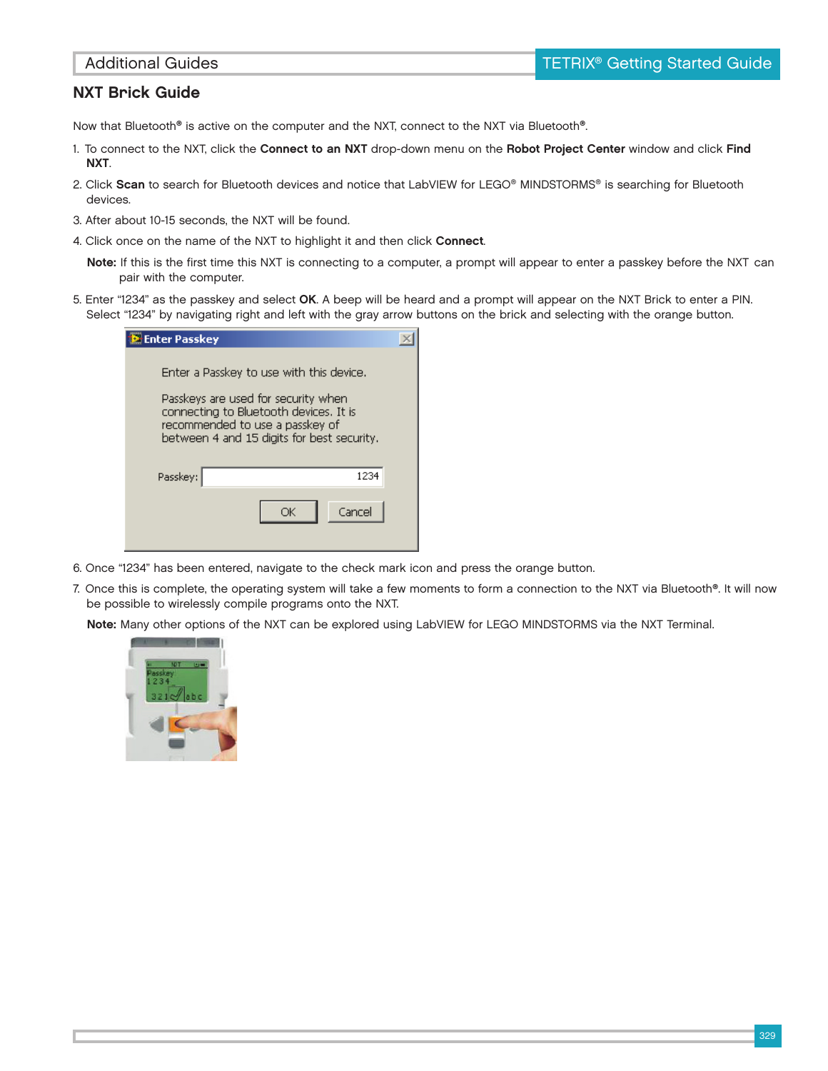Now that Bluetooth® is active on the computer and the NXT, connect to the NXT via Bluetooth®.

- 1. To connect to the NXT, click the Connect to an NXT drop-down menu on the Robot Project Center window and click Find NXT.
- 2. Click Scan to search for Bluetooth devices and notice that LabVIEW for LEGO® MINDSTORMS® is searching for Bluetooth devices.
- 3. After about 10-15 seconds, the NXT will be found.
- 4. Click once on the name of the NXT to highlight it and then click Connect.
	- Note: If this is the first time this NXT is connecting to a computer, a prompt will appear to enter a passkey before the NXT can pair with the computer.
- 5. Enter "1234" as the passkey and select OK. A beep will be heard and a prompt will appear on the NXT Brick to enter a PIN. Select "1234" by navigating right and left with the gray arrow buttons on the brick and selecting with the orange button.

| <b>Enter Passkey</b>            |                                                                                                                                                                         |  |
|---------------------------------|-------------------------------------------------------------------------------------------------------------------------------------------------------------------------|--|
| recommended to use a passkey of | Enter a Passkey to use with this device.<br>Passkeys are used for security when<br>connecting to Bluetooth devices. It is<br>between 4 and 15 digits for best security. |  |
| Passkey:                        | 1234                                                                                                                                                                    |  |
|                                 | Cancel<br>ОК                                                                                                                                                            |  |

6. Once "1234" has been entered, navigate to the check mark icon and press the orange button.

7. Once this is complete, the operating system will take a few moments to form a connection to the NXT via Bluetooth®. It will now be possible to wirelessly compile programs onto the NXT.

Note: Many other options of the NXT can be explored using LabVIEW for LEGO MINDSTORMS via the NXT Terminal.